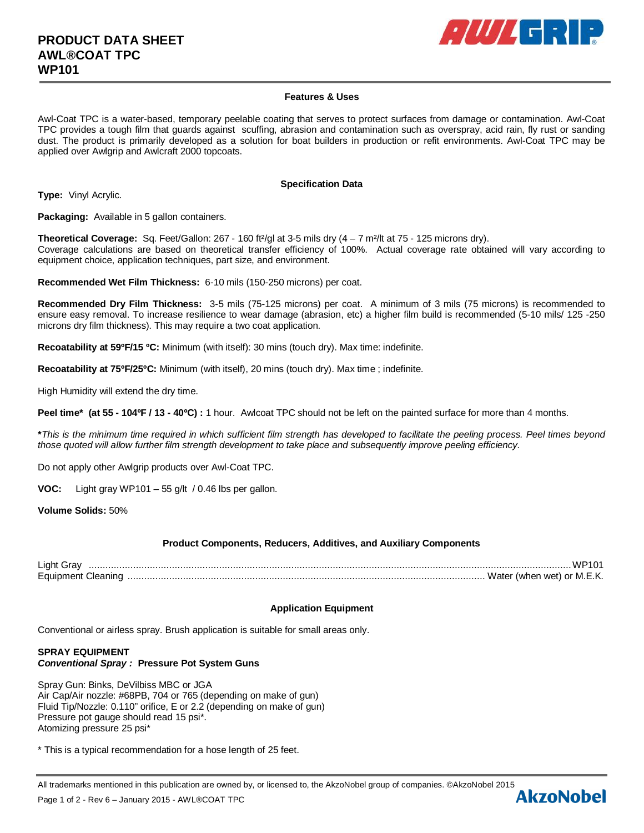

# **Features & Uses**

Awl-Coat TPC is a water-based, temporary peelable coating that serves to protect surfaces from damage or contamination. Awl-Coat TPC provides a tough film that guards against scuffing, abrasion and contamination such as overspray, acid rain, fly rust or sanding dust. The product is primarily developed as a solution for boat builders in production or refit environments. Awl-Coat TPC may be applied over Awlgrip and Awlcraft 2000 topcoats.

#### **Specification Data**

**Type:** Vinyl Acrylic.

**Packaging:** Available in 5 gallon containers.

**Theoretical Coverage:** Sq. Feet/Gallon: 267 - 160 ft²/gl at 3-5 mils dry (4 – 7 m²/lt at 75 - 125 microns dry). Coverage calculations are based on theoretical transfer efficiency of 100%. Actual coverage rate obtained will vary according to equipment choice, application techniques, part size, and environment.

**Recommended Wet Film Thickness:** 6-10 mils (150-250 microns) per coat.

**Recommended Dry Film Thickness:** 3-5 mils (75-125 microns) per coat. A minimum of 3 mils (75 microns) is recommended to ensure easy removal. To increase resilience to wear damage (abrasion, etc) a higher film build is recommended (5-10 mils/ 125 -250 microns dry film thickness). This may require a two coat application.

**Recoatability at 59ºF/15 ºC:** Minimum (with itself): 30 mins (touch dry). Max time: indefinite.

**Recoatability at 75ºF/25ºC:** Minimum (with itself), 20 mins (touch dry). Max time ; indefinite.

High Humidity will extend the dry time.

**Peel time\* (at 55 - 104ºF / 13 - 40ºC) :** 1 hour. Awlcoat TPC should not be left on the painted surface for more than 4 months.

**\****This is the minimum time required in which sufficient film strength has developed to facilitate the peeling process. Peel times beyond those quoted will allow further film strength development to take place and subsequently improve peeling efficiency.*

Do not apply other Awlgrip products over Awl-Coat TPC.

**VOC:** Light gray WP101 – 55 g/lt / 0.46 lbs per gallon.

**Volume Solids:** 50%

# **Product Components, Reducers, Additives, and Auxiliary Components**

Light Gray .............................................................................................................................................................................. WP101 Equipment Cleaning ................................................................................................................................. Water (when wet) or M.E.K.

# **Application Equipment**

Conventional or airless spray. Brush application is suitable for small areas only.

## **SPRAY EQUIPMENT** *Conventional Spray :* **Pressure Pot System Guns**

Spray Gun: Binks, DeVilbiss MBC or JGA Air Cap/Air nozzle: #68PB, 704 or 765 (depending on make of gun) Fluid Tip/Nozzle: 0.110" orifice, E or 2.2 (depending on make of gun) Pressure pot gauge should read 15 psi\*. Atomizing pressure 25 psi\*

\* This is a typical recommendation for a hose length of 25 feet.

All trademarks mentioned in this publication are owned by, or licensed to, the AkzoNobel group of companies. ©AkzoNobel 2015<br>Page 1 of 2 - Rev 6 – January 2015 - AMI ®COAT TPC